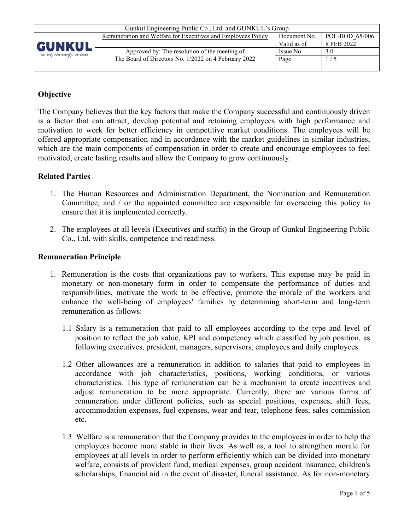| Gunkul Engineering Public Co., Ltd. and GUNKUL's Group |                                                              |              |                |  |  |  |  |  |
|--------------------------------------------------------|--------------------------------------------------------------|--------------|----------------|--|--|--|--|--|
|                                                        | Remuneration and Welfare for Executives and Employees Policy | Document No. | POL-BOD 65-006 |  |  |  |  |  |
| GUNKUL                                                 |                                                              | Valid as of  | 8 FEB 2022     |  |  |  |  |  |
| not only the energy, we care                           | Approved by: The resolution of the meeting of                | Issue No.    | 3.0            |  |  |  |  |  |
|                                                        | The Board of Directors No. 1/2022 on 4 February 2022         | Page         | 1/5            |  |  |  |  |  |
|                                                        |                                                              |              |                |  |  |  |  |  |

## **Objective**

The Company believes that the key factors that make the Company successful and continuously driven is a factor that can attract, develop potential and retaining employees with high performance and motivation to work for better efficiency in competitive market conditions. The employees will be offered appropriate compensation and in accordance with the market guidelines in similar industries, which are the main components of compensation in order to create and encourage employees to feel motivated, create lasting results and allow the Company to grow continuously.

### **Related Parties**

- 1. The Human Resources and Administration Department, the Nomination and Remuneration Committee, and / or the appointed committee are responsible for overseeing this policy to ensure that it is implemented correctly.
- 2. The employees at all levels (Executives and staffs) in the Group of Gunkul Engineering Public Co., Ltd. with skills, competence and readiness.

#### **Remuneration Principle**

- 1. Remuneration is the costs that organizations pay to workers. This expense may be paid in monetary or non-monetary form in order to compensate the performance of duties and responsibilities, motivate the work to be effective, promote the morale of the workers and enhance the well-being of employees' families by determining short-term and long-term remuneration as follows:
	- 1.1 Salary is a remuneration that paid to all employees according to the type and level of position to reflect the job value, KPI and competency which classified by job position, as following executives, president, managers, supervisors, employees and daily employees.
	- 1.2 Other allowances are a remuneration in addition to salaries that paid to employees in accordance with job characteristics, positions, working conditions, or various characteristics. This type of remuneration can be a mechanism to create incentives and adjust remuneration to be more appropriate. Currently, there are various forms of remuneration under different policies, such as special positions, expenses, shift fees, accommodation expenses, fuel expenses, wear and tear, telephone fees, sales commission etc.
	- 1.3 Welfare is a remuneration that the Company provides to the employees in order to help the employees become more stable in their lives. As well as, a tool to strengthen morale for employees at all levels in order to perform efficiently which can be divided into monetary welfare, consists of provident fund, medical expenses, group accident insurance, children's scholarships, financial aid in the event of disaster, funeral assistance. As for non-monetary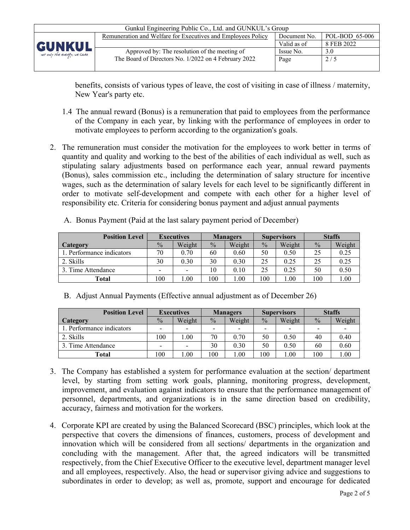

benefits, consists of various types of leave, the cost of visiting in case of illness / maternity, New Year's party etc.

- 1.4 The annual reward (Bonus) is a remuneration that paid to employees from the performance of the Company in each year, by linking with the performance of employees in order to motivate employees to perform according to the organization's goals.
- 2. The remuneration must consider the motivation for the employees to work better in terms of quantity and quality and working to the best of the abilities of each individual as well, such as stipulating salary adjustments based on performance each year, annual reward payments (Bonus), sales commission etc., including the determination of salary structure for incentive wages, such as the determination of salary levels for each level to be significantly different in order to motivate self-development and compete with each other for a higher level of responsibility etc. Criteria for considering bonus payment and adjust annual payments

| <b>Position Level</b>     | <b>Executives</b> |        | <b>Managers</b> |        | <b>Supervisors</b> |        | <b>Staffs</b> |        |
|---------------------------|-------------------|--------|-----------------|--------|--------------------|--------|---------------|--------|
| Category                  | $\frac{0}{0}$     | Weight | $\frac{0}{0}$   | Weight | $\frac{0}{0}$      | Weight | $\frac{0}{0}$ | Weight |
| 1. Performance indicators | 70                | 0.70   | 60              | 0.60   | 50                 | 0.50   | 25            | 0.25   |
| 2. Skills                 | 30                | 0.30   | 30              | 0.30   | 25                 | 0.25   | 25            | 0.25   |
| 3. Time Attendance        |                   |        | 10              | 0.10   |                    | 0.25   | 50            | 0.50   |
| Total                     | 100               | .00.   | 100             | .00.   | 100                | 00.1   | 100           | 1.00   |

A. Bonus Payment (Paid at the last salary payment period of December)

|  |  |  |  |  | B. Adjust Annual Payments (Effective annual adjustment as of December 26) |
|--|--|--|--|--|---------------------------------------------------------------------------|
|--|--|--|--|--|---------------------------------------------------------------------------|

| <b>Position Level</b>     | <b>Executives</b>        |                          | <b>Managers</b>          |                          | <b>Supervisors</b>       |                          | <b>Staffs</b>            |        |
|---------------------------|--------------------------|--------------------------|--------------------------|--------------------------|--------------------------|--------------------------|--------------------------|--------|
| Category                  | $\frac{0}{0}$            | Weight                   | $\frac{0}{0}$            | Weight                   | $\frac{0}{0}$            | Weight                   | $\frac{0}{0}$            | Weight |
| 1. Performance indicators | $\overline{\phantom{0}}$ | $\overline{\phantom{0}}$ | $\overline{\phantom{a}}$ | $\overline{\phantom{0}}$ | $\overline{\phantom{0}}$ | $\overline{\phantom{0}}$ | $\overline{\phantom{a}}$ |        |
| 2. Skills                 | 100                      | .00                      | 70                       | 0.70                     | 50                       | 0.50                     | 40                       | 0.40   |
| 3. Time Attendance        | $\overline{\phantom{0}}$ |                          | 30                       | 0.30                     | 50                       | 0.50                     | 60                       | 0.60   |
| Total                     | 100                      | .00                      | 100                      | 0.00                     | 00                       | 1.00                     | 100                      | 1.00   |

- 3. The Company has established a system for performance evaluation at the section/ department level, by starting from setting work goals, planning, monitoring progress, development, improvement, and evaluation against indicators to ensure that the performance management of personnel, departments, and organizations is in the same direction based on credibility, accuracy, fairness and motivation for the workers.
- 4. Corporate KPI are created by using the Balanced Scorecard (BSC) principles, which look at the perspective that covers the dimensions of finances, customers, process of development and innovation which will be considered from all sections/ departments in the organization and concluding with the management. After that, the agreed indicators will be transmitted respectively, from the Chief Executive Officer to the executive level, department manager level and all employees, respectively. Also, the head or supervisor giving advice and suggestions to subordinates in order to develop; as well as, promote, support and encourage for dedicated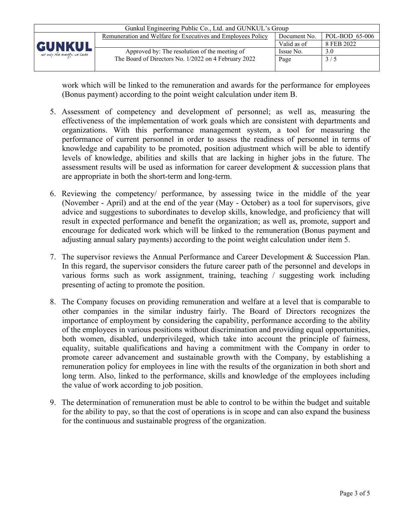| Gunkul Engineering Public Co., Ltd. and GUNKUL's Group |                                                              |              |                |  |  |  |  |  |
|--------------------------------------------------------|--------------------------------------------------------------|--------------|----------------|--|--|--|--|--|
|                                                        | Remuneration and Welfare for Executives and Employees Policy | Document No. | POL-BOD 65-006 |  |  |  |  |  |
| GUNKUL                                                 |                                                              | Valid as of  | 8 FEB 2022     |  |  |  |  |  |
| not only the energy, we care                           | Approved by: The resolution of the meeting of                | Issue No.    | 3.0            |  |  |  |  |  |
|                                                        | The Board of Directors No. 1/2022 on 4 February 2022         | Page         | 3/5            |  |  |  |  |  |
|                                                        |                                                              |              |                |  |  |  |  |  |

work which will be linked to the remuneration and awards for the performance for employees (Bonus payment) according to the point weight calculation under item B.

- 5. Assessment of competency and development of personnel; as well as, measuring the effectiveness of the implementation of work goals which are consistent with departments and organizations. With this performance management system, a tool for measuring the performance of current personnel in order to assess the readiness of personnel in terms of knowledge and capability to be promoted, position adjustment which will be able to identify levels of knowledge, abilities and skills that are lacking in higher jobs in the future. The assessment results will be used as information for career development & succession plans that are appropriate in both the short-term and long-term.
- 6. Reviewing the competency/ performance, by assessing twice in the middle of the year (November - April) and at the end of the year (May - October) as a tool for supervisors, give advice and suggestions to subordinates to develop skills, knowledge, and proficiency that will result in expected performance and benefit the organization; as well as, promote, support and encourage for dedicated work which will be linked to the remuneration (Bonus payment and adjusting annual salary payments) according to the point weight calculation under item 5.
- 7. The supervisor reviews the Annual Performance and Career Development & Succession Plan. In this regard, the supervisor considers the future career path of the personnel and develops in various forms such as work assignment, training, teaching / suggesting work including presenting of acting to promote the position.
- 8. The Company focuses on providing remuneration and welfare at a level that is comparable to other companies in the similar industry fairly. The Board of Directors recognizes the importance of employment by considering the capability, performance according to the ability of the employees in various positions without discrimination and providing equal opportunities, both women, disabled, underprivileged, which take into account the principle of fairness, equality, suitable qualifications and having a commitment with the Company in order to promote career advancement and sustainable growth with the Company, by establishing a remuneration policy for employees in line with the results of the organization in both short and long term. Also, linked to the performance, skills and knowledge of the employees including the value of work according to job position.
- 9. The determination of remuneration must be able to control to be within the budget and suitable for the ability to pay, so that the cost of operations is in scope and can also expand the business for the continuous and sustainable progress of the organization.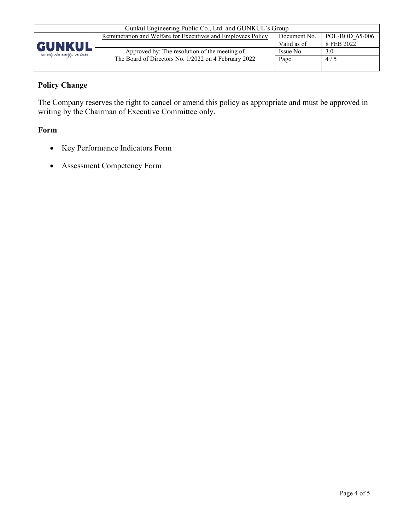

| Gunkul Engineering Public Co., Ltd. and GUNKUL's Group       |              |                |  |  |  |
|--------------------------------------------------------------|--------------|----------------|--|--|--|
| Remuneration and Welfare for Executives and Employees Policy | Document No. | POL-BOD 65-006 |  |  |  |
|                                                              | Valid as of  | 8 FEB 2022     |  |  |  |
| Approved by: The resolution of the meeting of                | Issue No.    | 3.0            |  |  |  |
| The Board of Directors No. 1/2022 on 4 February 2022         | Page         | 4/5            |  |  |  |
|                                                              |              |                |  |  |  |

## **Policy Change**

The Company reserves the right to cancel or amend this policy as appropriate and must be approved in writing by the Chairman of Executive Committee only.

### **Form**

- Key Performance Indicators Form
- Assessment Competency Form